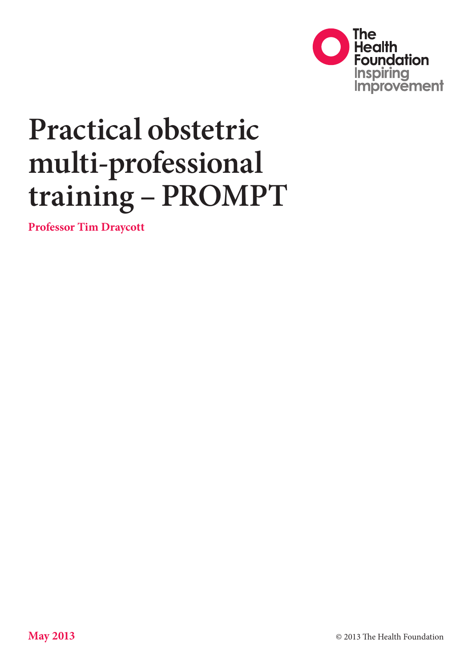

# **Practical obstetric multi-professional training – PROMPT**

**Professor Tim Draycott**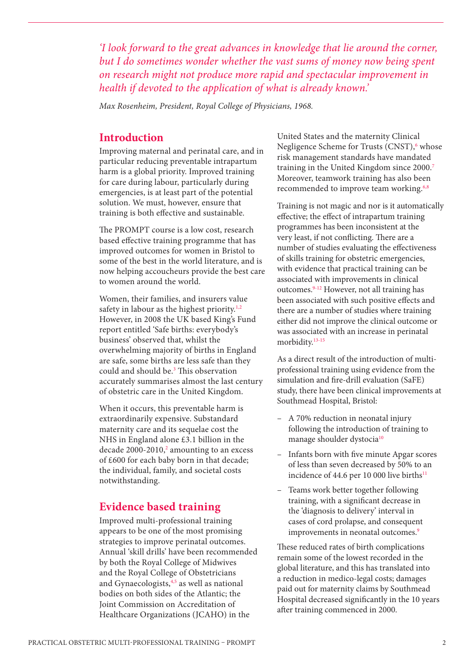*'I look forward to the great advances in knowledge that lie around the corner, but I do sometimes wonder whether the vast sums of money now being spent on research might not produce more rapid and spectacular improvement in health if devoted to the application of what is already known.'*

*Max Rosenheim, President, Royal College of Physicians, 1968.*

### **Introduction**

Improving maternal and perinatal care, and in particular reducing preventable intrapartum harm is a global priority. Improved training for care during labour, particularly during emergencies, is at least part of the potential solution. We must, however, ensure that training is both effective and sustainable.

The PROMPT course is a low cost, research based effective training programme that has improved outcomes for women in Bristol to some of the best in the world literature, and is now helping accoucheurs provide the best care to women around the world.

Women, their families, and insurers value safety in labour as the highest priority.<sup>1,2</sup> However, in 2008 the UK based King's Fund report entitled 'Safe births: everybody's business' observed that, whilst the overwhelming majority of births in England are safe, some births are less safe than they could and should be.3 This observation accurately summarises almost the last century of obstetric care in the United Kingdom.

When it occurs, this preventable harm is extraordinarily expensive. Substandard maternity care and its sequelae cost the NHS in England alone £3.1 billion in the decade  $2000-2010$ ,<sup>2</sup> amounting to an excess of £600 for each baby born in that decade; the individual, family, and societal costs notwithstanding.

# **Evidence based training**

Improved multi-professional training appears to be one of the most promising strategies to improve perinatal outcomes. Annual 'skill drills' have been recommended by both the Royal College of Midwives and the Royal College of Obstetricians and Gynaecologists,<sup>4,5</sup> as well as national bodies on both sides of the Atlantic; the Joint Commission on Accreditation of Healthcare Organizations (JCAHO) in the

United States and the maternity Clinical Negligence Scheme for Trusts (CNST),<sup>6</sup> whose risk management standards have mandated training in the United Kingdom since 2000.7 Moreover, teamwork training has also been recommended to improve team working.<sup>6,8</sup>

Training is not magic and nor is it automatically effective; the effect of intrapartum training programmes has been inconsistent at the very least, if not conflicting. There are a number of studies evaluating the effectiveness of skills training for obstetric emergencies, with evidence that practical training can be associated with improvements in clinical outcomes.9-12 However, not all training has been associated with such positive effects and there are a number of studies where training either did not improve the clinical outcome or was associated with an increase in perinatal morbidity.13-15

As a direct result of the introduction of multiprofessional training using evidence from the simulation and fire-drill evaluation (SaFE) study, there have been clinical improvements at Southmead Hospital, Bristol:

- A 70% reduction in neonatal injury following the introduction of training to manage shoulder dystocia<sup>10</sup>
- Infants born with five minute Apgar scores of less than seven decreased by 50% to an incidence of 44.6 per 10 000 live births<sup>11</sup>
- Teams work better together following training, with a significant decrease in the 'diagnosis to delivery' interval in cases of cord prolapse, and consequent improvements in neonatal outcomes.<sup>9</sup>

These reduced rates of birth complications remain some of the lowest recorded in the global literature, and this has translated into a reduction in medico-legal costs; damages paid out for maternity claims by Southmead Hospital decreased significantly in the 10 years after training commenced in 2000.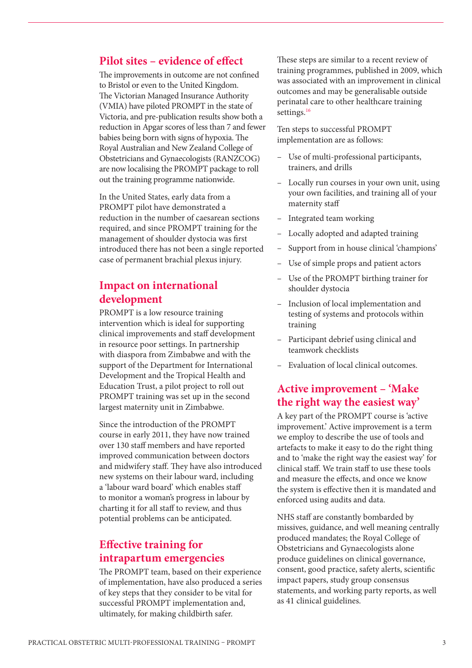### **Pilot sites – evidence of effect**

The improvements in outcome are not confined to Bristol or even to the United Kingdom. The Victorian Managed Insurance Authority (VMIA) have piloted PROMPT in the state of Victoria, and pre-publication results show both a reduction in Apgar scores of less than 7 and fewer babies being born with signs of hypoxia. The Royal Australian and New Zealand College of Obstetricians and Gynaecologists (RANZCOG) are now localising the PROMPT package to roll out the training programme nationwide.

In the United States, early data from a PROMPT pilot have demonstrated a reduction in the number of caesarean sections required, and since PROMPT training for the management of shoulder dystocia was first introduced there has not been a single reported case of permanent brachial plexus injury.

# **Impact on international development**

PROMPT is a low resource training intervention which is ideal for supporting clinical improvements and staff development in resource poor settings. In partnership with diaspora from Zimbabwe and with the support of the Department for International Development and the Tropical Health and Education Trust, a pilot project to roll out PROMPT training was set up in the second largest maternity unit in Zimbabwe.

Since the introduction of the PROMPT course in early 2011, they have now trained over 130 staff members and have reported improved communication between doctors and midwifery staff. They have also introduced new systems on their labour ward, including a 'labour ward board' which enables staff to monitor a woman's progress in labour by charting it for all staff to review, and thus potential problems can be anticipated.

# **Effective training for intrapartum emergencies**

The PROMPT team, based on their experience of implementation, have also produced a series of key steps that they consider to be vital for successful PROMPT implementation and, ultimately, for making childbirth safer.

These steps are similar to a recent review of training programmes, published in 2009, which was associated with an improvement in clinical outcomes and may be generalisable outside perinatal care to other healthcare training settings.<sup>16</sup>

Ten steps to successful PROMPT implementation are as follows:

- Use of multi-professional participants, trainers, and drills
- Locally run courses in your own unit, using your own facilities, and training all of your maternity staff
- Integrated team working
- Locally adopted and adapted training
- Support from in house clinical 'champions'
- Use of simple props and patient actors
- Use of the PROMPT birthing trainer for shoulder dystocia
- Inclusion of local implementation and testing of systems and protocols within training
- Participant debrief using clinical and teamwork checklists
- Evaluation of local clinical outcomes.

# **Active improvement – 'Make the right way the easiest way'**

A key part of the PROMPT course is 'active improvement.' Active improvement is a term we employ to describe the use of tools and artefacts to make it easy to do the right thing and to 'make the right way the easiest way' for clinical staff. We train staff to use these tools and measure the effects, and once we know the system is effective then it is mandated and enforced using audits and data.

NHS staff are constantly bombarded by missives, guidance, and well meaning centrally produced mandates; the Royal College of Obstetricians and Gynaecologists alone produce guidelines on clinical governance, consent, good practice, safety alerts, scientific impact papers, study group consensus statements, and working party reports, as well as 41 clinical guidelines.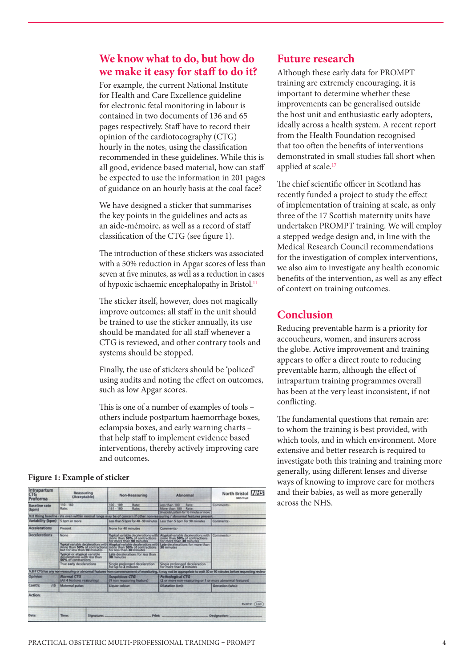# **We know what to do, but how do we make it easy for staff to do it?**

For example, the current National Institute for Health and Care Excellence guideline for electronic fetal monitoring in labour is contained in two documents of 136 and 65 pages respectively. Staff have to record their opinion of the cardiotocography (CTG) hourly in the notes, using the classification recommended in these guidelines. While this is all good, evidence based material, how can staff be expected to use the information in 201 pages of guidance on an hourly basis at the coal face?

We have designed a sticker that summarises the key points in the guidelines and acts as an aide-mémoire, as well as a record of staff classification of the CTG (see figure 1).

The introduction of these stickers was associated with a 50% reduction in Apgar scores of less than seven at five minutes, as well as a reduction in cases of hypoxic ischaemic encephalopathy in Bristol.<sup>11</sup>

The sticker itself, however, does not magically improve outcomes; all staff in the unit should be trained to use the sticker annually, its use should be mandated for all staff whenever a CTG is reviewed, and other contrary tools and systems should be stopped.

Finally, the use of stickers should be 'policed' using audits and noting the effect on outcomes, such as low Apgar scores.

This is one of a number of examples of tools – others include postpartum haemorrhage boxes, eclampsia boxes, and early warning charts – that help staff to implement evidence based interventions, thereby actively improving care and outcomes.

#### **Figure 1: Example of sticker**

| Intrapartum<br>CTG<br>Proforma  | Reassuring<br>(Acceptable)                                                          | Non-Reassuring                                                     | Abnormal                                                                                                                                                                                                             | North Bristol NHS<br><b>NHS Trust</b>                                                                                                                               |
|---------------------------------|-------------------------------------------------------------------------------------|--------------------------------------------------------------------|----------------------------------------------------------------------------------------------------------------------------------------------------------------------------------------------------------------------|---------------------------------------------------------------------------------------------------------------------------------------------------------------------|
| <b>Baseline</b> rate<br>(bpm)   | 110-160<br>Rate:                                                                    | $100 - 109$<br>Rate:<br>$161 - 180$<br>Rate:                       | Less than 100<br>Rate:<br>More than 180<br>Rate:<br>Sinusoidal pattern for 10 minutes or more                                                                                                                        | Comments-                                                                                                                                                           |
|                                 |                                                                                     |                                                                    | N.B Rising baseline rate even within normal range may be of concern if other non-reassuring / abnormal features present.                                                                                             |                                                                                                                                                                     |
| Variability (bpm) 5 bpm or more |                                                                                     | Less than 5 bpm for 40 - 90 minutes Less than 5 bpm for 90 minutes |                                                                                                                                                                                                                      | Comments-                                                                                                                                                           |
| <b>Accelerations</b>            | Present                                                                             | None for 40 minutes                                                | Comments:-                                                                                                                                                                                                           |                                                                                                                                                                     |
| <b>Decelerations</b>            | None                                                                                |                                                                    | Typical variable decelerations with Abysical variable decelerations with<br>more than 50% of contractions more than 50% of contractions<br>for more than 90 minutes                                                  | Comments:-                                                                                                                                                          |
|                                 |                                                                                     |                                                                    | Typical variable decelerations with Abypical variable decelerations with Late decelerations for more than<br>more than 50% of contractions (more than 50% of contractions 30 minutes<br>but for less than 90 minutes |                                                                                                                                                                     |
|                                 | Typical or atypical variable<br>decelerations with less than<br>50% of contractions | Late decelerations for less than<br>30 minutes                     |                                                                                                                                                                                                                      |                                                                                                                                                                     |
|                                 | True early decelerations                                                            | Single prolonged deceleration                                      | Single prolonged deceleration                                                                                                                                                                                        |                                                                                                                                                                     |
|                                 |                                                                                     |                                                                    |                                                                                                                                                                                                                      | N.B If CTG has any non-reassuring or abnormal features from commencement of monitoring, it may not be appropriate to wait 30 or 90 minutes before requesting review |
| Opinion                         | <b>Normal CTG</b><br>(All 4 features reassuring)                                    | <b>Suspicious CTG</b><br>(1 non reassuring feature)                | <b>Pathological CTG</b><br>(2 or more non-reassuring or 1 or more abnormal features)                                                                                                                                 |                                                                                                                                                                     |
| Cont's:<br>110                  | <b>Maternal pulse:</b>                                                              | Liquor colour:                                                     | <b>Dilatation (cm):</b>                                                                                                                                                                                              | Gestation (wks):                                                                                                                                                    |
| Action:                         |                                                                                     |                                                                    |                                                                                                                                                                                                                      | <b>RVJ0191 (LGD)</b>                                                                                                                                                |
| Date:                           | Time:<br>Signature:                                                                 | <b>Print:</b>                                                      |                                                                                                                                                                                                                      | Designations                                                                                                                                                        |

#### **Future research**

Although these early data for PROMPT training are extremely encouraging, it is important to determine whether these improvements can be generalised outside the host unit and enthusiastic early adopters, ideally across a health system. A recent report from the Health Foundation recognised that too often the benefits of interventions demonstrated in small studies fall short when applied at scale.<sup>17</sup>

The chief scientific officer in Scotland has recently funded a project to study the effect of implementation of training at scale, as only three of the 17 Scottish maternity units have undertaken PROMPT training. We will employ a stepped wedge design and, in line with the Medical Research Council recommendations for the investigation of complex interventions, we also aim to investigate any health economic benefits of the intervention, as well as any effect of context on training outcomes.

# **Conclusion**

Reducing preventable harm is a priority for accoucheurs, women, and insurers across the globe. Active improvement and training appears to offer a direct route to reducing preventable harm, although the effect of intrapartum training programmes overall has been at the very least inconsistent, if not conflicting.

The fundamental questions that remain are: to whom the training is best provided, with which tools, and in which environment. More extensive and better research is required to investigate both this training and training more generally, using different lenses and diverse ways of knowing to improve care for mothers and their babies, as well as more generally across the NHS.